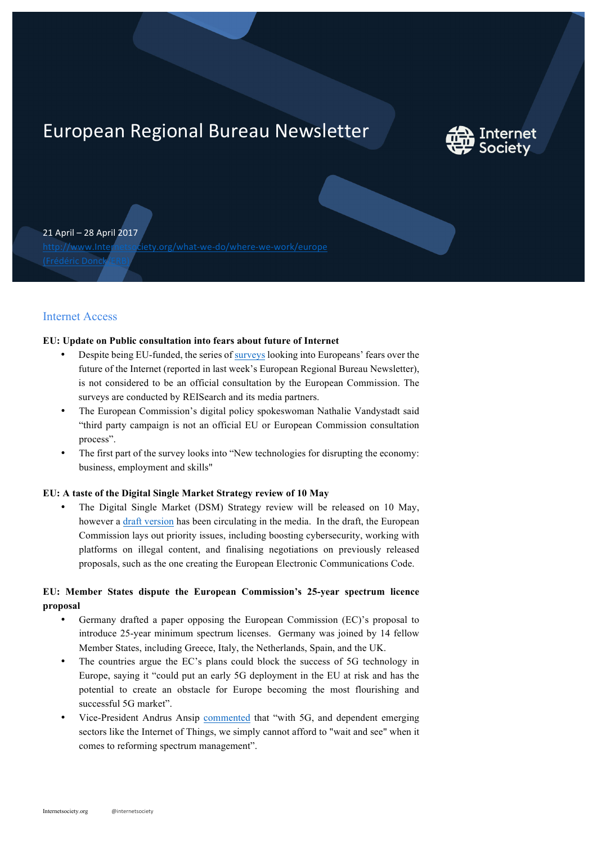# European Regional Bureau Newsletter



21 April – 28 April 2017

http://www.Internetsociety.org/what-we-do/where-we-work/europe (Frédéric Donck/ERB)

# Internet Access

## **EU: Update on Public consultation into fears about future of Internet**

- Despite being EU-funded, the series of surveys looking into Europeans' fears over the future of the Internet (reported in last week's European Regional Bureau Newsletter), is not considered to be an official consultation by the European Commission. The surveys are conducted by REISearch and its media partners.
- The European Commission's digital policy spokeswoman Nathalie Vandystadt said "third party campaign is not an official EU or European Commission consultation process".
- The first part of the survey looks into "New technologies for disrupting the economy: business, employment and skills"

## **EU: A taste of the Digital Single Market Strategy review of 10 May**

• The Digital Single Market (DSM) Strategy review will be released on 10 May, however a draft version has been circulating in the media. In the draft, the European Commission lays out priority issues, including boosting cybersecurity, working with platforms on illegal content, and finalising negotiations on previously released proposals, such as the one creating the European Electronic Communications Code.

# **EU: Member States dispute the European Commission's 25-year spectrum licence proposal**

- Germany drafted a paper opposing the European Commission (EC)'s proposal to introduce 25-year minimum spectrum licenses. Germany was joined by 14 fellow Member States, including Greece, Italy, the Netherlands, Spain, and the UK.
- The countries argue the EC's plans could block the success of 5G technology in Europe, saying it "could put an early 5G deployment in the EU at risk and has the potential to create an obstacle for Europe becoming the most flourishing and successful 5G market".
- Vice-President Andrus Ansip commented that "with 5G, and dependent emerging sectors like the Internet of Things, we simply cannot afford to "wait and see" when it comes to reforming spectrum management".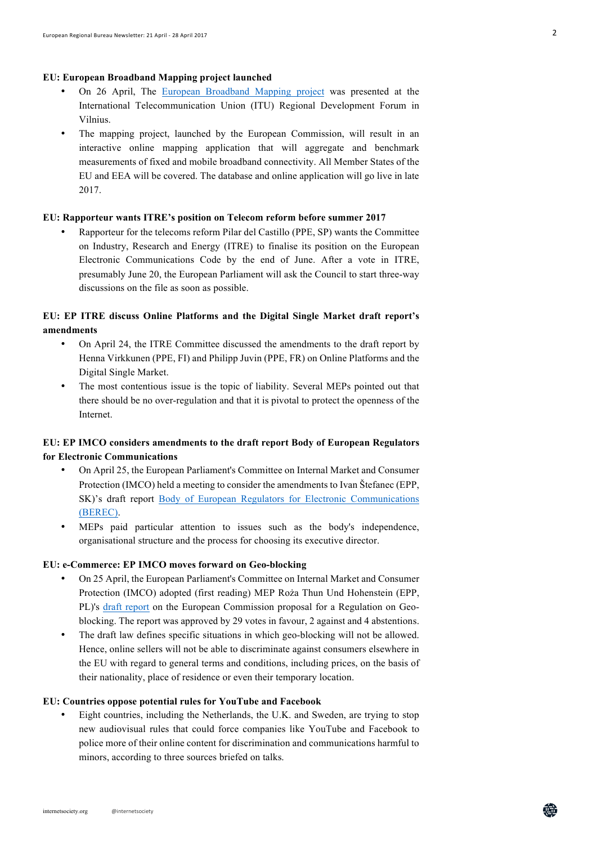#### **EU: European Broadband Mapping project launched**

- On 26 April, The European Broadband Mapping project was presented at the International Telecommunication Union (ITU) Regional Development Forum in Vilnius.
- The mapping project, launched by the European Commission, will result in an interactive online mapping application that will aggregate and benchmark measurements of fixed and mobile broadband connectivity. All Member States of the EU and EEA will be covered. The database and online application will go live in late 2017.

## **EU: Rapporteur wants ITRE's position on Telecom reform before summer 2017**

• Rapporteur for the telecoms reform Pilar del Castillo (PPE, SP) wants the Committee on Industry, Research and Energy (ITRE) to finalise its position on the European Electronic Communications Code by the end of June. After a vote in ITRE, presumably June 20, the European Parliament will ask the Council to start three-way discussions on the file as soon as possible.

# **EU: EP ITRE discuss Online Platforms and the Digital Single Market draft report's amendments**

- On April 24, the ITRE Committee discussed the amendments to the draft report by Henna Virkkunen (PPE, FI) and Philipp Juvin (PPE, FR) on Online Platforms and the Digital Single Market.
- The most contentious issue is the topic of liability. Several MEPs pointed out that there should be no over-regulation and that it is pivotal to protect the openness of the Internet.

# **EU: EP IMCO considers amendments to the draft report Body of European Regulators for Electronic Communications**

- On April 25, the European Parliament's Committee on Internal Market and Consumer Protection (IMCO) held a meeting to consider the amendments to Ivan Štefanec (EPP, SK)'s draft report Body of European Regulators for Electronic Communications (BEREC).
- MEPs paid particular attention to issues such as the body's independence, organisational structure and the process for choosing its executive director.

# **EU: e-Commerce: EP IMCO moves forward on Geo-blocking**

- On 25 April, the European Parliament's Committee on Internal Market and Consumer Protection (IMCO) adopted (first reading) MEP Roża Thun Und Hohenstein (EPP, PL)'s draft report on the European Commission proposal for a Regulation on Geoblocking. The report was approved by 29 votes in favour, 2 against and 4 abstentions.
- The draft law defines specific situations in which geo-blocking will not be allowed. Hence, online sellers will not be able to discriminate against consumers elsewhere in the EU with regard to general terms and conditions, including prices, on the basis of their nationality, place of residence or even their temporary location.

#### **EU: Countries oppose potential rules for YouTube and Facebook**

• Eight countries, including the Netherlands, the U.K. and Sweden, are trying to stop new audiovisual rules that could force companies like YouTube and Facebook to police more of their online content for discrimination and communications harmful to minors, according to three sources briefed on talks.

盆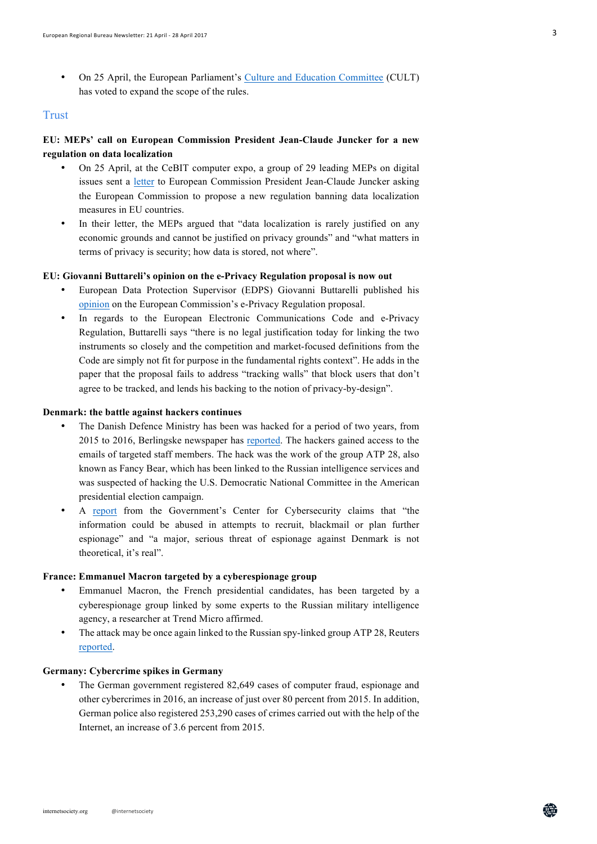• On 25 April, the European Parliament's Culture and Education Committee (CULT) has voted to expand the scope of the rules.

## **Trust**

# **EU: MEPs' call on European Commission President Jean-Claude Juncker for a new regulation on data localization**

- On 25 April, at the CeBIT computer expo, a group of 29 leading MEPs on digital issues sent a letter to European Commission President Jean-Claude Juncker asking the European Commission to propose a new regulation banning data localization measures in EU countries.
- In their letter, the MEPs argued that "data localization is rarely justified on any economic grounds and cannot be justified on privacy grounds" and "what matters in terms of privacy is security; how data is stored, not where".

#### **EU: Giovanni Buttareli's opinion on the e-Privacy Regulation proposal is now out**

- European Data Protection Supervisor (EDPS) Giovanni Buttarelli published his opinion on the European Commission's e-Privacy Regulation proposal.
- In regards to the European Electronic Communications Code and e-Privacy Regulation, Buttarelli says "there is no legal justification today for linking the two instruments so closely and the competition and market-focused definitions from the Code are simply not fit for purpose in the fundamental rights context". He adds in the paper that the proposal fails to address "tracking walls" that block users that don't agree to be tracked, and lends his backing to the notion of privacy-by-design".

#### **Denmark: the battle against hackers continues**

- The Danish Defence Ministry has been was hacked for a period of two years, from 2015 to 2016, Berlingske newspaper has reported. The hackers gained access to the emails of targeted staff members. The hack was the work of the group ATP 28, also known as Fancy Bear, which has been linked to the Russian intelligence services and was suspected of hacking the U.S. Democratic National Committee in the American presidential election campaign.
- A report from the Government's Center for Cybersecurity claims that "the information could be abused in attempts to recruit, blackmail or plan further espionage" and "a major, serious threat of espionage against Denmark is not theoretical, it's real".

## **France: Emmanuel Macron targeted by a cyberespionage group**

- Emmanuel Macron, the French presidential candidates, has been targeted by a cyberespionage group linked by some experts to the Russian military intelligence agency, a researcher at Trend Micro affirmed.
- The attack may be once again linked to the Russian spy-linked group ATP 28, Reuters reported.

#### **Germany: Cybercrime spikes in Germany**

The German government registered 82,649 cases of computer fraud, espionage and other cybercrimes in 2016, an increase of just over 80 percent from 2015. In addition, German police also registered 253,290 cases of crimes carried out with the help of the Internet, an increase of 3.6 percent from 2015.

盆